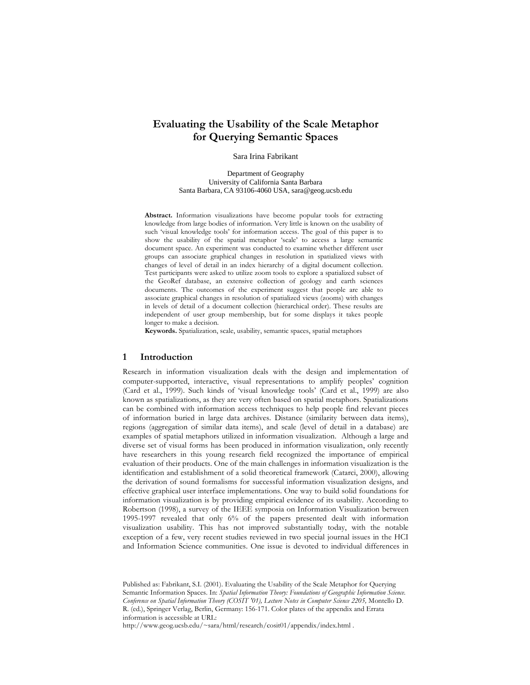# **Evaluating the Usability of the Scale Metaphor for Querying Semantic Spaces**

Sara Irina Fabrikant

Department of Geography University of California Santa Barbara Santa Barbara, CA 93106-4060 USA, sara@geog.ucsb.edu

**Abstract.** Information visualizations have become popular tools for extracting knowledge from large bodies of information. Very little is known on the usability of such 'visual knowledge tools' for information access. The goal of this paper is to show the usability of the spatial metaphor 'scale' to access a large semantic document space. An experiment was conducted to examine whether different user groups can associate graphical changes in resolution in spatialized views with changes of level of detail in an index hierarchy of a digital document collection. Test participants were asked to utilize zoom tools to explore a spatialized subset of the GeoRef database, an extensive collection of geology and earth sciences documents. The outcomes of the experiment suggest that people are able to associate graphical changes in resolution of spatialized views (zooms) with changes in levels of detail of a document collection (hierarchical order). These results are independent of user group membership, but for some displays it takes people longer to make a decision.

**Keywords.** Spatialization, scale, usability, semantic spaces, spatial metaphors

# **1 Introduction**

Research in information visualization deals with the design and implementation of computer-supported, interactive, visual representations to amplify peoples' cognition (Card et al., 1999). Such kinds of 'visual knowledge tools' (Card et al., 1999) are also known as spatializations, as they are very often based on spatial metaphors. Spatializations can be combined with information access techniques to help people find relevant pieces of information buried in large data archives. Distance (similarity between data items), regions (aggregation of similar data items), and scale (level of detail in a database) are examples of spatial metaphors utilized in information visualization. Although a large and diverse set of visual forms has been produced in information visualization, only recently have researchers in this young research field recognized the importance of empirical evaluation of their products. One of the main challenges in information visualization is the identification and establishment of a solid theoretical framework (Catarci, 2000), allowing the derivation of sound formalisms for successful information visualization designs, and effective graphical user interface implementations. One way to build solid foundations for information visualization is by providing empirical evidence of its usability. According to Robertson (1998), a survey of the IEEE symposia on Information Visualization between 1995-1997 revealed that only 6% of the papers presented dealt with information visualization usability. This has not improved substantially today, with the notable exception of a few, very recent studies reviewed in two special journal issues in the HCI and Information Science communities. One issue is devoted to individual differences in

<http://www.geog.ucsb.edu/~sara/html/research/cosit01/appendix/index.html> .

Published as: Fabrikant, S.I. (2001). Evaluating the Usability of the Scale Metaphor for Querying Semantic Information Spaces. In: *Spatial Information Theory: Foundations of Geographic Information Science*. *Conference on Spatial Information Theory (COSIT '01), Lecture Notes in Computer Science 2205,* Montello D. R. (ed.), Springer Verlag, Berlin, Germany: 156-171. Color plates of the appendix and Errata information is accessible at URL: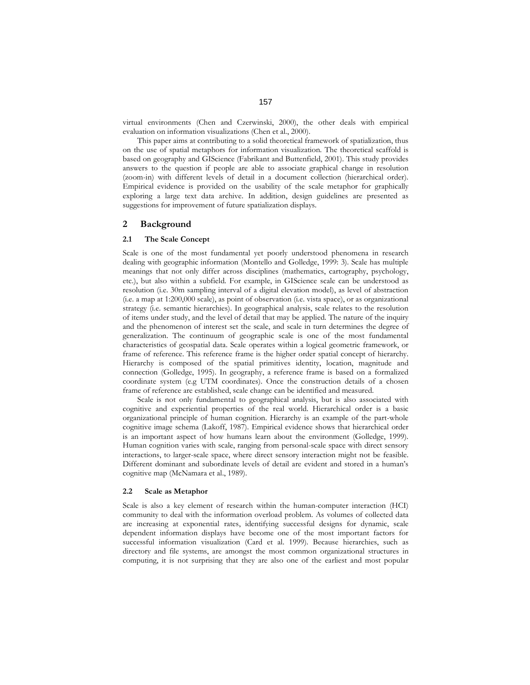virtual environments (Chen and Czerwinski, 2000), the other deals with empirical evaluation on information visualizations (Chen et al., 2000).

This paper aims at contributing to a solid theoretical framework of spatialization, thus on the use of spatial metaphors for information visualization. The theoretical scaffold is based on geography and GIScience (Fabrikant and Buttenfield, 2001). This study provides answers to the question if people are able to associate graphical change in resolution (zoom-in) with different levels of detail in a document collection (hierarchical order). Empirical evidence is provided on the usability of the scale metaphor for graphically exploring a large text data archive. In addition, design guidelines are presented as suggestions for improvement of future spatialization displays.

## **2 Background**

#### **2.1 The Scale Concept**

Scale is one of the most fundamental yet poorly understood phenomena in research dealing with geographic information (Montello and Golledge, 1999: 3). Scale has multiple meanings that not only differ across disciplines (mathematics, cartography, psychology, etc.), but also within a subfield. For example, in GIScience scale can be understood as resolution (i.e. 30m sampling interval of a digital elevation model), as level of abstraction (i.e. a map at 1:200,000 scale), as point of observation (i.e. vista space), or as organizational strategy (i.e. semantic hierarchies). In geographical analysis, scale relates to the resolution of items under study, and the level of detail that may be applied. The nature of the inquiry and the phenomenon of interest set the scale, and scale in turn determines the degree of generalization. The continuum of geographic scale is one of the most fundamental characteristics of geospatial data. Scale operates within a logical geometric framework, or frame of reference. This reference frame is the higher order spatial concept of hierarchy. Hierarchy is composed of the spatial primitives identity, location, magnitude and connection (Golledge, 1995). In geography, a reference frame is based on a formalized coordinate system (e.g UTM coordinates). Once the construction details of a chosen frame of reference are established, scale change can be identified and measured.

Scale is not only fundamental to geographical analysis, but is also associated with cognitive and experiential properties of the real world. Hierarchical order is a basic organizational principle of human cognition. Hierarchy is an example of the part-whole cognitive image schema (Lakoff, 1987). Empirical evidence shows that hierarchical order is an important aspect of how humans learn about the environment (Golledge, 1999). Human cognition varies with scale, ranging from personal-scale space with direct sensory interactions, to larger-scale space, where direct sensory interaction might not be feasible. Different dominant and subordinate levels of detail are evident and stored in a human's cognitive map (McNamara et al., 1989).

#### **2.2 Scale as Metaphor**

Scale is also a key element of research within the human-computer interaction (HCI) community to deal with the information overload problem. As volumes of collected data are increasing at exponential rates, identifying successful designs for dynamic, scale dependent information displays have become one of the most important factors for successful information visualization (Card et al. 1999). Because hierarchies, such as directory and file systems, are amongst the most common organizational structures in computing, it is not surprising that they are also one of the earliest and most popular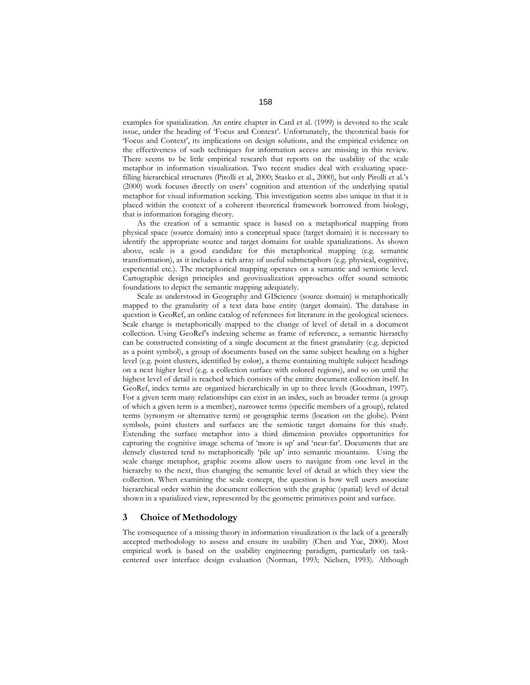examples for spatialization. An entire chapter in Card et al. (1999) is devoted to the scale issue, under the heading of 'Focus and Context'. Unfortunately, the theoretical basis for 'Focus and Context', its implications on design solutions, and the empirical evidence on the effectiveness of such techniques for information access are missing in this review. There seems to be little empirical research that reports on the usability of the scale metaphor in information visualization. Two recent studies deal with evaluating spacefilling hierarchical structures (Pirolli et al, 2000; Stasko et al., 2000), but only Pirolli et al.'s (2000) work focuses directly on users' cognition and attention of the underlying spatial metaphor for visual information seeking. This investigation seems also unique in that it is placed within the context of a coherent theoretical framework borrowed from biology, that is information foraging theory.

As the creation of a semantic space is based on a metaphorical mapping from physical space (source domain) into a conceptual space (target domain) it is necessary to identify the appropriate source and target domains for usable spatializations. As shown above, scale is a good candidate for this metaphorical mapping (e.g. semantic transformation), as it includes a rich array of useful submetaphors (e.g. physical, cognitive, experiential etc.). The metaphorical mapping operates on a semantic and semiotic level. Cartographic design principles and geovisualization approaches offer sound semiotic foundations to depict the semantic mapping adequately.

Scale as understood in Geography and GIScience (source domain) is metaphorically mapped to the granularity of a text data base entity (target domain). The database in question is GeoRef, an online catalog of references for literature in the geological sciences. Scale change is metaphorically mapped to the change of level of detail in a document collection. Using GeoRef's indexing scheme as frame of reference, a semantic hierarchy can be constructed consisting of a single document at the finest granularity (e.g. depicted as a point symbol), a group of documents based on the same subject heading on a higher level (e.g. point clusters, identified by color), a theme containing multiple subject headings on a next higher level (e.g. a collection surface with colored regions), and so on until the highest level of detail is reached which consists of the entire document collection itself. In GeoRef, index terms are organized hierarchically in up to three levels (Goodman, 1997). For a given term many relationships can exist in an index, such as broader terms (a group of which a given term is a member), narrower terms (specific members of a group), related terms (synonym or alternative term) or geographic terms (location on the globe). Point symbols, point clusters and surfaces are the semiotic target domains for this study. Extending the surface metaphor into a third dimension provides opportunities for capturing the cognitive image schema of 'more is up' and 'near-far'. Documents that are densely clustered tend to metaphorically 'pile up' into semantic mountains. Using the scale change metaphor, graphic zooms allow users to navigate from one level in the hierarchy to the next, thus changing the semantic level of detail at which they view the collection. When examining the scale concept, the question is how well users associate hierarchical order within the document collection with the graphic (spatial) level of detail shown in a spatialized view, represented by the geometric primitives point and surface.

# **3 Choice of Methodology**

The consequence of a missing theory in information visualization is the lack of a generally accepted methodology to assess and ensure its usability (Chen and Yue, 2000). Most empirical work is based on the usability engineering paradigm, particularly on taskcentered user interface design evaluation (Norman, 1993; Nielsen, 1993). Although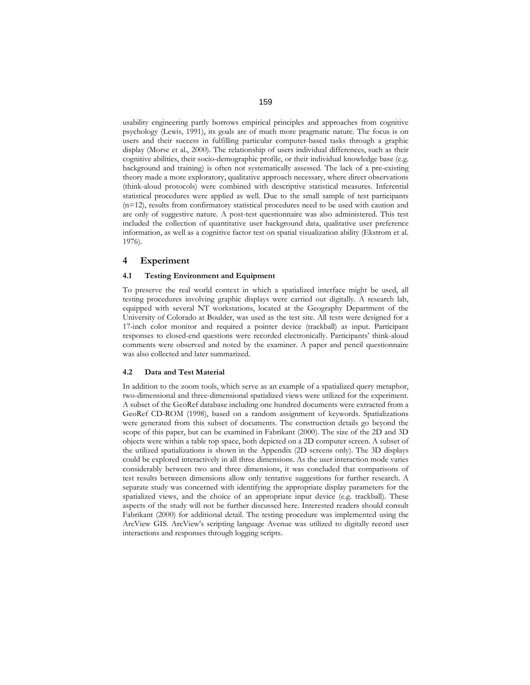usability engineering partly borrows empirical principles and approaches from cognitive psychology (Lewis, 1991), its goals are of much more pragmatic nature. The focus is on users and their success in fulfilling particular computer-based tasks through a graphic display (Morse et al., 2000). The relationship of users individual differences, such as their cognitive abilities, their socio-demographic profile, or their individual knowledge base (e.g. background and training) is often not systematically assessed. The lack of a pre-existing theory made a more exploratory, qualitative approach necessary, where direct observations (think-aloud protocols) were combined with descriptive statistical measures. Inferential statistical procedures were applied as well. Due to the small sample of test participants (n=12), results from confirmatory statistical procedures need to be used with caution and are only of suggestive nature. A post-test questionnaire was also administered. This test included the collection of quantitative user background data, qualitative user preference information, as well as a cognitive factor test on spatial visualization ability (Ekstrom et al. 1976).

## **4 Experiment**

#### **4.1 Testing Environment and Equipment**

To preserve the real world context in which a spatialized interface might be used, all testing procedures involving graphic displays were carried out digitally. A research lab, equipped with several NT workstations, located at the Geography Department of the University of Colorado at Boulder, was used as the test site. All tests were designed for a 17-inch color monitor and required a pointer device (trackball) as input. Participant responses to closed-end questions were recorded electronically. Participants' think-aloud comments were observed and noted by the examiner. A paper and pencil questionnaire was also collected and later summarized.

## **4.2 Data and Test Material**

In addition to the zoom tools, which serve as an example of a spatialized query metaphor, two-dimensional and three-dimensional spatialized views were utilized for the experiment. A subset of the GeoRef database including one hundred documents were extracted from a GeoRef CD-ROM (1998), based on a random assignment of keywords. Spatializations were generated from this subset of documents. The construction details go beyond the scope of this paper, but can be examined in Fabrikant (2000). The size of the 2D and 3D objects were within a table top space, both depicted on a 2D computer screen. A subset of the utilized spatializations is shown in the Appendix (2D screens only). The 3D displays could be explored interactively in all three dimensions. As the user interaction mode varies considerably between two and three dimensions, it was concluded that comparisons of test results between dimensions allow only tentative suggestions for further research. A separate study was concerned with identifying the appropriate display parameters for the spatialized views, and the choice of an appropriate input device (e.g. trackball). These aspects of the study will not be further discussed here. Interested readers should consult Fabrikant (2000) for additional detail. The testing procedure was implemented using the ArcView GIS. ArcView's scripting language Avenue was utilized to digitally record user interactions and responses through logging scripts.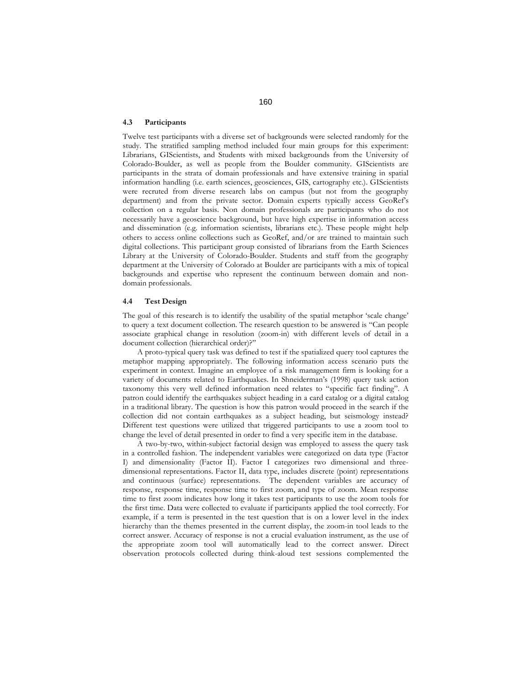#### **4.3 Participants**

Twelve test participants with a diverse set of backgrounds were selected randomly for the study. The stratified sampling method included four main groups for this experiment: Librarians, GIScientists, and Students with mixed backgrounds from the University of Colorado-Boulder, as well as people from the Boulder community. GIScientists are participants in the strata of domain professionals and have extensive training in spatial information handling (i.e. earth sciences, geosciences, GIS, cartography etc.). GIScientists were recruted from diverse research labs on campus (but not from the geography department) and from the private sector. Domain experts typically access GeoRef's collection on a regular basis. Non domain professionals are participants who do not necessarily have a geoscience background, but have high expertise in information access and dissemination (e.g. information scientists, librarians etc.). These people might help others to access online collections such as GeoRef, and/or are trained to maintain such digital collections. This participant group consisted of librarians from the Earth Sciences Library at the University of Colorado-Boulder. Students and staff from the geography department at the University of Colorado at Boulder are participants with a mix of topical backgrounds and expertise who represent the continuum between domain and nondomain professionals.

#### **4.4 Test Design**

The goal of this research is to identify the usability of the spatial metaphor 'scale change' to query a text document collection. The research question to be answered is "Can people associate graphical change in resolution (zoom-in) with different levels of detail in a document collection (hierarchical order)?"

A proto-typical query task was defined to test if the spatialized query tool captures the metaphor mapping appropriately. The following information access scenario puts the experiment in context. Imagine an employee of a risk management firm is looking for a variety of documents related to Earthquakes. In Shneiderman's (1998) query task action taxonomy this very well defined information need relates to "specific fact finding". A patron could identify the earthquakes subject heading in a card catalog or a digital catalog in a traditional library. The question is how this patron would proceed in the search if the collection did not contain earthquakes as a subject heading, but seismology instead? Different test questions were utilized that triggered participants to use a zoom tool to change the level of detail presented in order to find a very specific item in the database.

A two-by-two, within-subject factorial design was employed to assess the query task in a controlled fashion. The independent variables were categorized on data type (Factor I) and dimensionality (Factor II). Factor I categorizes two dimensional and threedimensional representations. Factor II, data type, includes discrete (point) representations and continuous (surface) representations. The dependent variables are accuracy of response, response time, response time to first zoom, and type of zoom. Mean response time to first zoom indicates how long it takes test participants to use the zoom tools for the first time. Data were collected to evaluate if participants applied the tool correctly. For example, if a term is presented in the test question that is on a lower level in the index hierarchy than the themes presented in the current display, the zoom-in tool leads to the correct answer. Accuracy of response is not a crucial evaluation instrument, as the use of the appropriate zoom tool will automatically lead to the correct answer. Direct observation protocols collected during think-aloud test sessions complemented the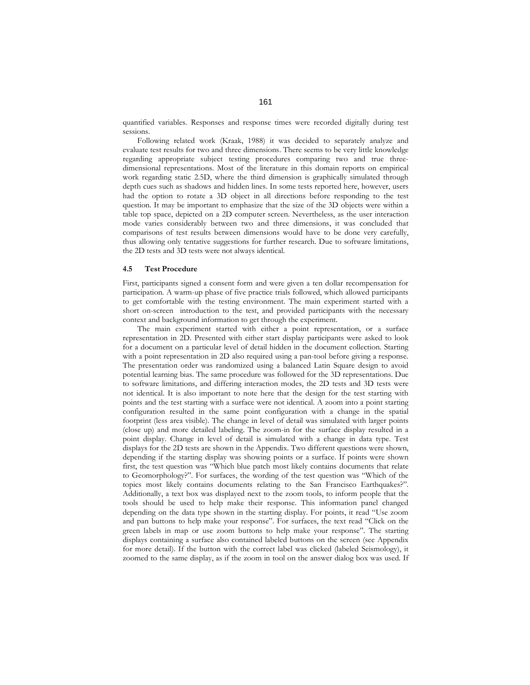quantified variables. Responses and response times were recorded digitally during test sessions.

Following related work (Kraak, 1988) it was decided to separately analyze and evaluate test results for two and three dimensions. There seems to be very little knowledge regarding appropriate subject testing procedures comparing two and true threedimensional representations. Most of the literature in this domain reports on empirical work regarding static 2.5D, where the third dimension is graphically simulated through depth cues such as shadows and hidden lines. In some tests reported here, however, users had the option to rotate a 3D object in all directions before responding to the test question. It may be important to emphasize that the size of the 3D objects were within a table top space, depicted on a 2D computer screen. Nevertheless, as the user interaction mode varies considerably between two and three dimensions, it was concluded that comparisons of test results between dimensions would have to be done very carefully, thus allowing only tentative suggestions for further research. Due to software limitations, the 2D tests and 3D tests were not always identical.

#### **4.5 Test Procedure**

First, participants signed a consent form and were given a ten dollar recompensation for participation. A warm-up phase of five practice trials followed, which allowed participants to get comfortable with the testing environment. The main experiment started with a short on-screen introduction to the test, and provided participants with the necessary context and background information to get through the experiment.

The main experiment started with either a point representation, or a surface representation in 2D. Presented with either start display participants were asked to look for a document on a particular level of detail hidden in the document collection. Starting with a point representation in 2D also required using a pan-tool before giving a response. The presentation order was randomized using a balanced Latin Square design to avoid potential learning bias. The same procedure was followed for the 3D representations. Due to software limitations, and differing interaction modes, the 2D tests and 3D tests were not identical. It is also important to note here that the design for the test starting with points and the test starting with a surface were not identical. A zoom into a point starting configuration resulted in the same point configuration with a change in the spatial footprint (less area visible). The change in level of detail was simulated with larger points (close up) and more detailed labeling. The zoom-in for the surface display resulted in a point display. Change in level of detail is simulated with a change in data type. Test displays for the 2D tests are shown in the Appendix. Two different questions were shown, depending if the starting display was showing points or a surface. If points were shown first, the test question was "Which blue patch most likely contains documents that relate to Geomorphology?". For surfaces, the wording of the test question was "Which of the topics most likely contains documents relating to the San Francisco Earthquakes?". Additionally, a text box was displayed next to the zoom tools, to inform people that the tools should be used to help make their response. This information panel changed depending on the data type shown in the starting display. For points, it read "Use zoom and pan buttons to help make your response". For surfaces, the text read "Click on the green labels in map or use zoom buttons to help make your response". The starting displays containing a surface also contained labeled buttons on the screen (see Appendix for more detail). If the button with the correct label was clicked (labeled Seismology), it zoomed to the same display, as if the zoom in tool on the answer dialog box was used. If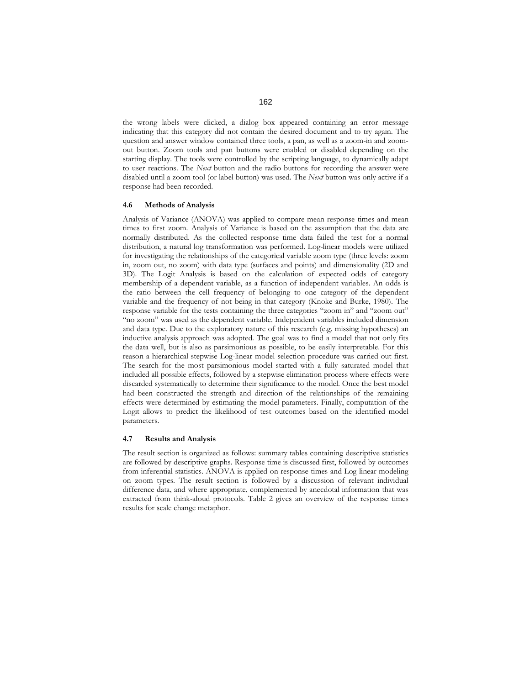the wrong labels were clicked, a dialog box appeared containing an error message indicating that this category did not contain the desired document and to try again. The question and answer window contained three tools, a pan, as well as a zoom-in and zoomout button. Zoom tools and pan buttons were enabled or disabled depending on the starting display. The tools were controlled by the scripting language, to dynamically adapt to user reactions. The *Next* button and the radio buttons for recording the answer were disabled until a zoom tool (or label button) was used. The *Next* button was only active if a response had been recorded.

#### **4.6 Methods of Analysis**

Analysis of Variance (ANOVA) was applied to compare mean response times and mean times to first zoom. Analysis of Variance is based on the assumption that the data are normally distributed. As the collected response time data failed the test for a normal distribution, a natural log transformation was performed. Log-linear models were utilized for investigating the relationships of the categorical variable zoom type (three levels: zoom in, zoom out, no zoom) with data type (surfaces and points) and dimensionality (2D and 3D). The Logit Analysis is based on the calculation of expected odds of category membership of a dependent variable, as a function of independent variables. An odds is the ratio between the cell frequency of belonging to one category of the dependent variable and the frequency of not being in that category (Knoke and Burke, 1980). The response variable for the tests containing the three categories "zoom in" and "zoom out" "no zoom" was used as the dependent variable. Independent variables included dimension and data type. Due to the exploratory nature of this research (e.g. missing hypotheses) an inductive analysis approach was adopted. The goal was to find a model that not only fits the data well, but is also as parsimonious as possible, to be easily interpretable. For this reason a hierarchical stepwise Log-linear model selection procedure was carried out first. The search for the most parsimonious model started with a fully saturated model that included all possible effects, followed by a stepwise elimination process where effects were discarded systematically to determine their significance to the model. Once the best model had been constructed the strength and direction of the relationships of the remaining effects were determined by estimating the model parameters. Finally, computation of the Logit allows to predict the likelihood of test outcomes based on the identified model parameters.

#### **4.7 Results and Analysis**

The result section is organized as follows: summary tables containing descriptive statistics are followed by descriptive graphs. Response time is discussed first, followed by outcomes from inferential statistics. ANOVA is applied on response times and Log-linear modeling on zoom types. The result section is followed by a discussion of relevant individual difference data, and where appropriate, complemented by anecdotal information that was extracted from think-aloud protocols. Table 2 gives an overview of the response times results for scale change metaphor.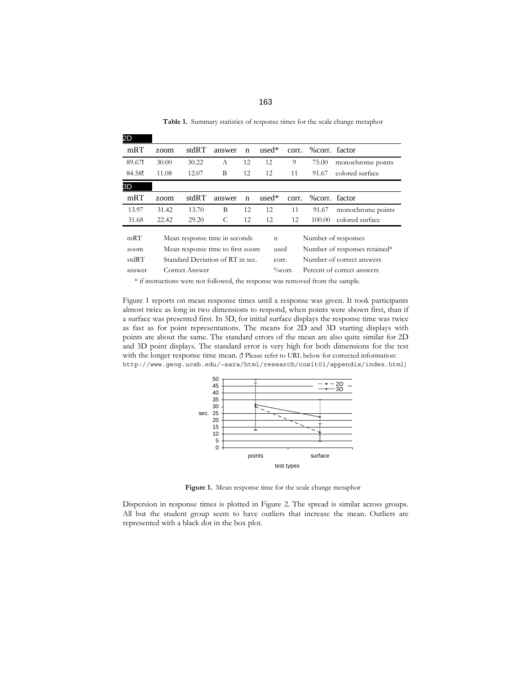| 2D     |                                  |       |        |    |                     |                            |                               |                   |  |
|--------|----------------------------------|-------|--------|----|---------------------|----------------------------|-------------------------------|-------------------|--|
| mRT    | zoom                             | stdRT | answer | n  | used*               | corr.                      | % corr. factor                |                   |  |
| 89.67! | 30.00                            | 30.22 | A      | 12 | 12                  | 9                          | 75.00                         | monochrome points |  |
| 84.58! | 11.08                            | 12.07 | B      | 12 | 12                  | 11                         | 91.67                         | colored surface   |  |
| 3D     |                                  |       |        |    |                     |                            |                               |                   |  |
| mRT    | zoom                             | stdRT | answer | n  | used*               | corr.                      | $%$ corr.                     | factor            |  |
| 13.97  | 31.42                            | 13.70 | B      | 12 | 12                  | 11                         | 91.67                         | monochrome points |  |
| 31.68  | 22.42                            | 29.20 | C      | 12 | 12                  | 12                         | 100.00                        | colored surface   |  |
| mRT    | Mean response time in seconds    |       |        | n  | Number of responses |                            |                               |                   |  |
| zoom   | Mean response time to first zoom |       |        |    | used                |                            | Number of responses retained* |                   |  |
| stdRT  | Standard Deviation of RT in sec. |       |        |    | corr.               |                            | Number of correct answers     |                   |  |
| answer | Correct Answer                   |       |        |    | $\%$ corr.          | Percent of correct answers |                               |                   |  |
| .      |                                  |       |        |    |                     |                            |                               |                   |  |

**Table 1.** Summary statistics of response times for the scale change metaphor

\* if instructions were not followed, the response was removed from the sample.

Figure 1 reports on mean response times until a response was given. It took participants almost twice as long in two dimensions to respond, when points were shown first, than if a surface was presented first. In 3D, for initial surface displays the response time was twice as fast as for point representations. The means for 2D and 3D starting displays with points are about the same. The standard errors of the mean are also quite similar for 2D and 3D point displays. The standard error is very high for both dimensions for the test with the longer response time mean. (**!** Please refer to URL below for corrected information: <http://www.geog.ucsb.edu/~sara/html/research/cosit01/appendix/index.html>)



**Figure 1.** Mean response time for the scale change metaphor

Dispersion in response times is plotted in Figure 2. The spread is similar across groups. All but the student group seem to have outliers that increase the mean. Outliers are represented with a black dot in the box plot.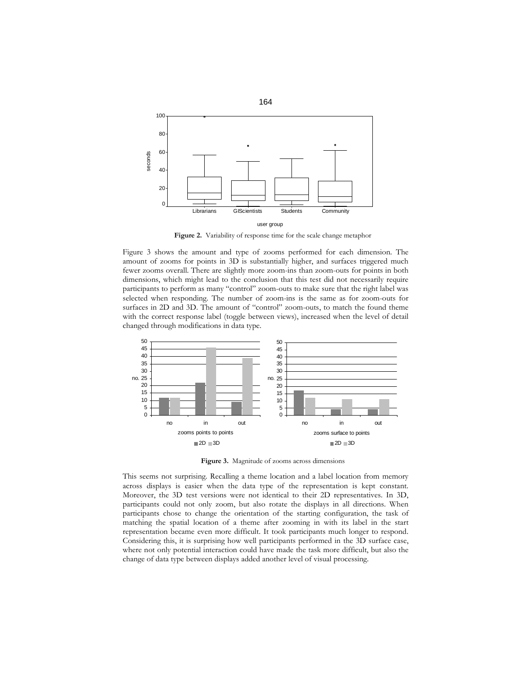

Figure 2. Variability of response time for the scale change metaphor

Figure 3 shows the amount and type of zooms performed for each dimension. The amount of zooms for points in 3D is substantially higher, and surfaces triggered much fewer zooms overall. There are slightly more zoom-ins than zoom-outs for points in both dimensions, which might lead to the conclusion that this test did not necessarily require participants to perform as many "control" zoom-outs to make sure that the right label was selected when responding. The number of zoom-ins is the same as for zoom-outs for surfaces in 2D and 3D. The amount of "control" zoom-outs, to match the found theme with the correct response label (toggle between views), increased when the level of detail changed through modifications in data type.



**Figure 3.** Magnitude of zooms across dimensions

This seems not surprising. Recalling a theme location and a label location from memory across displays is easier when the data type of the representation is kept constant. Moreover, the 3D test versions were not identical to their 2D representatives. In 3D, participants could not only zoom, but also rotate the displays in all directions. When participants chose to change the orientation of the starting configuration, the task of matching the spatial location of a theme after zooming in with its label in the start representation became even more difficult. It took participants much longer to respond. Considering this, it is surprising how well participants performed in the 3D surface case, where not only potential interaction could have made the task more difficult, but also the change of data type between displays added another level of visual processing.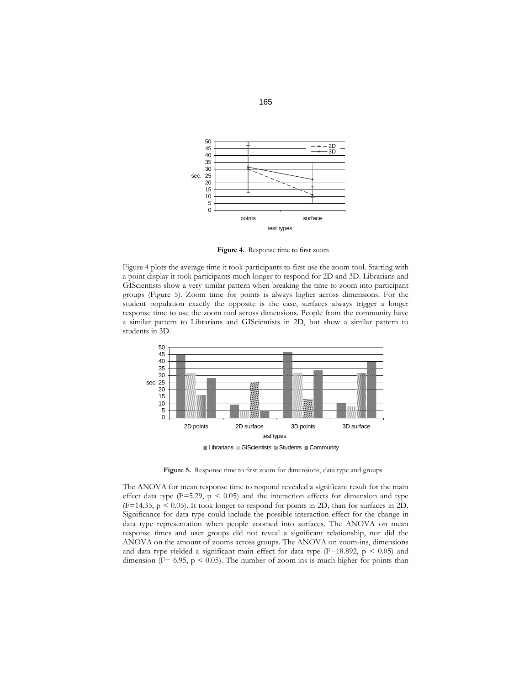

**Figure 4.** Response time to first zoom

Figure 4 plots the average time it took participants to first use the zoom tool. Starting with a point display it took participants much longer to respond for 2D and 3D. Librarians and GIScientists show a very similar pattern when breaking the time to zoom into participant groups (Figure 5). Zoom time for points is always higher across dimensions. For the student population exactly the opposite is the case, surfaces always trigger a longer response time to use the zoom tool across dimensions. People from the community have a similar pattern to Librarians and GIScientists in 2D, but show a similar pattern to students in 3D.



Figure 5. Response time to first zoom for dimensions, data type and groups

The ANOVA for mean response time to respond revealed a significant result for the main effect data type ( $F=5.29$ ,  $p < 0.05$ ) and the interaction effects for dimension and type (F=14.35,  $p \le 0.05$ ). It took longer to respond for points in 2D, than for surfaces in 2D. Significance for data type could include the possible interaction effect for the change in data type representation when people zoomed into surfaces. The ANOVA on mean response times and user groups did not reveal a significant relationship, nor did the ANOVA on the amount of zooms across groups. The ANOVA on zoom-ins, dimensions and data type yielded a significant main effect for data type (F=18.892,  $p < 0.05$ ) and dimension ( $F= 6.95$ ,  $p < 0.05$ ). The number of zoom-ins is much higher for points than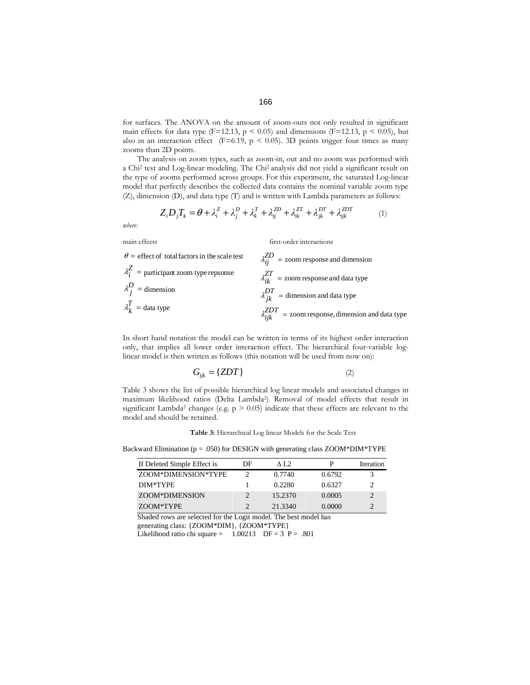for surfaces. The ANOVA on the amount of zoom-outs not only resulted in significant main effects for data type (F=12.13,  $p \le 0.05$ ) and dimensions (F=12.13,  $p \le 0.05$ ), but also in an interaction effect (F=6.19,  $p \le 0.05$ ). 3D points trigger four times as many zooms than 2D points.

The analysis on zoom types, such as zoom-in, out and no zoom was performed with a Chi2 test and Log-linear modeling. The Chi2 analysis did not yield a significant result on the type of zooms performed across groups. For this experiment, the saturated Log-linear model that perfectly describes the collected data contains the nominal variable zoom type (Z), dimension (D), and data type (T) and is written with Lambda parameters as follows:

$$
Z_i D_j T_k = \theta + \lambda_i^Z + \lambda_j^D + \lambda_k^T + \lambda_{ij}^{ZD} + \lambda_{ik}^{ZT} + \lambda_{jk}^{DT} + \lambda_{ijk}^{ZDT}
$$
 (1)

*where:*

main effects first-order interactions

| $\theta$ = effect of total factors in the scale test | $\lambda_{ii}^{ZD}$ = zoom response and dimension              |
|------------------------------------------------------|----------------------------------------------------------------|
| $\lambda_i^Z$ = participant zoom type repsonse       | $\lambda_{ik}^{ZI}$ = zoom response and data type              |
| $\lambda_i^D$ = dimension                            | $\lambda_{ik}^{DT}$ = dimension and data type                  |
| $\lambda_k^T$ = data type                            | $\lambda_{ijk}^{ZDT}$ = zoom response, dimension and data type |

In short hand notation the model can be written in terms of its highest order interaction only, that implies all lower order interaction effect. The hierarchical four-variable loglinear model is then written as follows (this notation will be used from now on):

$$
G_{ijk} = \{ZDT\} \tag{2}
$$

Table 3 shows the list of possible hierarchical log linear models and associated changes in maximum likelihood ratios (Delta Lambda2). Removal of model effects that result in significant Lambda<sup>2</sup> changes (e.g.  $p > 0.05$ ) indicate that these effects are relevant to the model and should be retained.

**Table 3:** Hierarchical Log linear Models for the Scale Test

Backward Elimination ( $p = .050$ ) for DESIGN with generating class ZOOM\*DIM\*TYPE

| If Deleted Simple Effect is | DF | AT 2    | р      | <b>Iteration</b> |
|-----------------------------|----|---------|--------|------------------|
| ZOOM*DIMENSION*TYPE         |    | 0.7740  | 0.6792 |                  |
| DIM*TYPE                    |    | 0.2280  | 0.6327 |                  |
| ZOOM*DIMENSION              |    | 15.2370 | 0.0005 |                  |
| ZOOM*TYPE                   |    | 21.3340 | 0.0000 |                  |

Shaded rows are selected for the Logit model. The best model has

generating class: {ZOOM\*DIM}, {ZOOM\*TYPE}

Likelihood ratio chi square =  $1.00213$  DF = 3 P = .801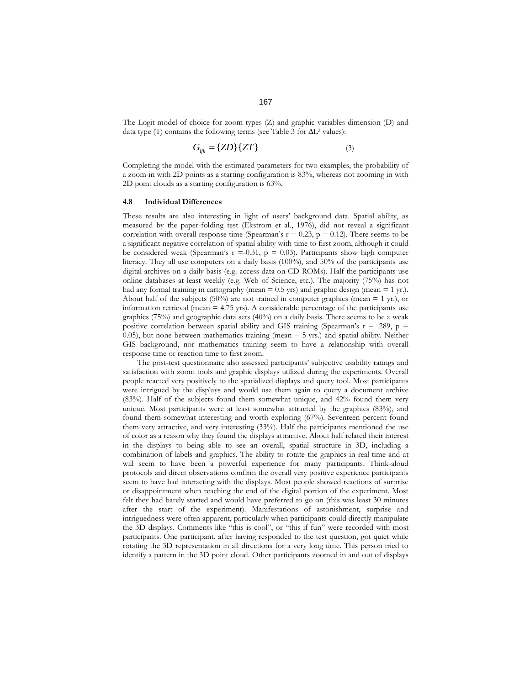The Logit model of choice for zoom types (Z) and graphic variables dimension (D) and data type (T) contains the following terms (see Table 3 for ∆L2 values):

$$
G_{ijk} = \{ZD\} \{ZT\} \tag{3}
$$

Completing the model with the estimated parameters for two examples, the probability of a zoom-in with 2D points as a starting configuration is 83%, whereas not zooming in with 2D point clouds as a starting configuration is 63%.

#### **4.8 Individual Differences**

These results are also interesting in light of users' background data. Spatial ability, as measured by the paper-folding test (Ekstrom et al., 1976), did not reveal a significant correlation with overall response time (Spearman's  $r = -0.23$ ,  $p = 0.12$ ). There seems to be a significant negative correlation of spatial ability with time to first zoom, although it could be considered weak (Spearman's  $r = -0.31$ ,  $p = 0.03$ ). Participants show high computer literacy. They all use computers on a daily basis (100%), and 50% of the participants use digital archives on a daily basis (e.g. access data on CD ROMs). Half the participants use online databases at least weekly (e.g. Web of Science, etc.). The majority (75%) has not had any formal training in cartography (mean  $= 0.5$  yrs) and graphic design (mean  $= 1$  yr.). About half of the subjects (50%) are not trained in computer graphics (mean  $= 1$  yr.), or information retrieval (mean  $= 4.75$  yrs). A considerable percentage of the participants use graphics (75%) and geographic data sets (40%) on a daily basis. There seems to be a weak positive correlation between spatial ability and GIS training (Spearman's  $r = .289$ ,  $p =$ 0.05), but none between mathematics training (mean  $=$  5 yrs.) and spatial ability. Neither GIS background, nor mathematics training seem to have a relationship with overall response time or reaction time to first zoom.

The post-test questionnaire also assessed participants' subjective usability ratings and satisfaction with zoom tools and graphic displays utilized during the experiments. Overall people reacted very positively to the spatialized displays and query tool. Most participants were intrigued by the displays and would use them again to query a document archive (83%). Half of the subjects found them somewhat unique, and 42% found them very unique. Most participants were at least somewhat attracted by the graphics (83%), and found them somewhat interesting and worth exploring (67%). Seventeen percent found them very attractive, and very interesting (33%). Half the participants mentioned the use of color as a reason why they found the displays attractive. About half related their interest in the displays to being able to see an overall, spatial structure in 3D, including a combination of labels and graphics. The ability to rotate the graphics in real-time and at will seem to have been a powerful experience for many participants. Think-aloud protocols and direct observations confirm the overall very positive experience participants seem to have had interacting with the displays. Most people showed reactions of surprise or disappointment when reaching the end of the digital portion of the experiment. Most felt they had barely started and would have preferred to go on (this was least 30 minutes after the start of the experiment). Manifestations of astonishment, surprise and intriguedness were often apparent, particularly when participants could directly manipulate the 3D displays. Comments like "this is cool", or "this if fun" were recorded with most participants. One participant, after having responded to the test question, got quiet while rotating the 3D representation in all directions for a very long time. This person tried to identify a pattern in the 3D point cloud. Other participants zoomed in and out of displays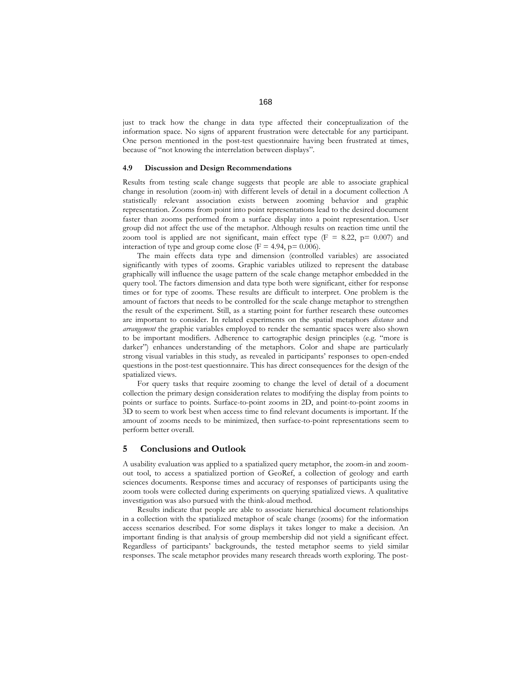just to track how the change in data type affected their conceptualization of the information space. No signs of apparent frustration were detectable for any participant. One person mentioned in the post-test questionnaire having been frustrated at times, because of "not knowing the interrelation between displays".

#### **4.9 Discussion and Design Recommendations**

Results from testing scale change suggests that people are able to associate graphical change in resolution (zoom-in) with different levels of detail in a document collection A statistically relevant association exists between zooming behavior and graphic representation. Zooms from point into point representations lead to the desired document faster than zooms performed from a surface display into a point representation. User group did not affect the use of the metaphor. Although results on reaction time until the zoom tool is applied are not significant, main effect type ( $F = 8.22$ ,  $p = 0.007$ ) and interaction of type and group come close ( $F = 4.94$ ,  $p = 0.006$ ).

The main effects data type and dimension (controlled variables) are associated significantly with types of zooms. Graphic variables utilized to represent the database graphically will influence the usage pattern of the scale change metaphor embedded in the query tool. The factors dimension and data type both were significant, either for response times or for type of zooms. These results are difficult to interpret. One problem is the amount of factors that needs to be controlled for the scale change metaphor to strengthen the result of the experiment. Still, as a starting point for further research these outcomes are important to consider. In related experiments on the spatial metaphors *distance* and *arrangement* the graphic variables employed to render the semantic spaces were also shown to be important modifiers. Adherence to cartographic design principles (e.g. "more is darker") enhances understanding of the metaphors. Color and shape are particularly strong visual variables in this study, as revealed in participants' responses to open-ended questions in the post-test questionnaire. This has direct consequences for the design of the spatialized views.

For query tasks that require zooming to change the level of detail of a document collection the primary design consideration relates to modifying the display from points to points or surface to points. Surface-to-point zooms in 2D, and point-to-point zooms in 3D to seem to work best when access time to find relevant documents is important. If the amount of zooms needs to be minimized, then surface-to-point representations seem to perform better overall.

## **5 Conclusions and Outlook**

A usability evaluation was applied to a spatialized query metaphor, the zoom-in and zoomout tool, to access a spatialized portion of GeoRef, a collection of geology and earth sciences documents. Response times and accuracy of responses of participants using the zoom tools were collected during experiments on querying spatialized views. A qualitative investigation was also pursued with the think-aloud method.

Results indicate that people are able to associate hierarchical document relationships in a collection with the spatialized metaphor of scale change (zooms) for the information access scenarios described. For some displays it takes longer to make a decision. An important finding is that analysis of group membership did not yield a significant effect. Regardless of participants' backgrounds, the tested metaphor seems to yield similar responses. The scale metaphor provides many research threads worth exploring. The post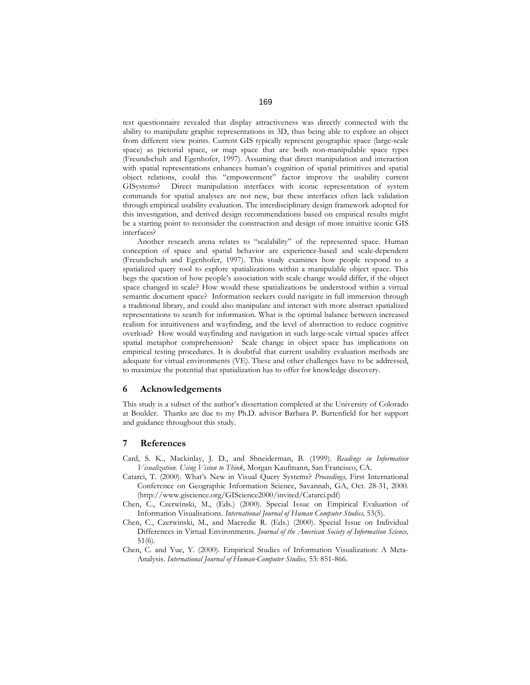test questionnaire revealed that display attractiveness was directly connected with the ability to manipulate graphic representations in 3D, thus being able to explore an object from different view points. Current GIS typically represent geographic space (large-scale space) as pictorial space, or map space that are both non-manipulable space types (Freundschuh and Egenhofer, 1997). Assuming that direct manipulation and interaction with spatial representations enhances human's cognition of spatial primitives and spatial object relations, could this "empowerment" factor improve the usability current GISystems? Direct manipulation interfaces with iconic representation of system commands for spatial analyses are not new, but these interfaces often lack validation through empirical usability evaluation. The interdisciplinary design framework adopted for this investigation, and derived design recommendations based on empirical results might be a starting point to reconsider the construction and design of more intuitive iconic GIS interfaces?

Another research arena relates to "scalability" of the represented space. Human conception of space and spatial behavior are experience-based and scale-dependent (Freundschuh and Egenhofer, 1997). This study examines how people respond to a spatialized query tool to explore spatializations within a manipulable object space. This begs the question of how people's association with scale change would differ, if the object space changed in scale? How would these spatializations be understood within a virtual semantic document space? Information seekers could navigate in full immersion through a traditional library, and could also manipulate and interact with more abstract spatialized representations to search for information. What is the optimal balance between increased realism for intuitiveness and wayfinding, and the level of abstraction to reduce cognitive overload? How would wayfinding and navigation in such large-scale virtual spaces affect spatial metaphor comprehension? Scale change in object space has implications on empirical testing procedures. It is doubtful that current usability evaluation methods are adequate for virtual environments (VE). These and other challenges have to be addressed, to maximize the potential that spatialization has to offer for knowledge discovery.

# **6 Acknowledgements**

This study is a subset of the author's dissertation completed at the University of Colorado at Boulder. Thanks are due to my Ph.D. advisor Barbara P. Buttenfield for her support and guidance throughout this study.

# **7 References**

- Card, S. K., Mackinlay, J. D., and Shneiderman, B. (1999). *Readings in Information Visualization. Using Vision to Think,* Morgan Kaufmann, San Francisco, CA.
- Catarci, T. (2000). What's New in Visual Query Systems? *Proceedings,* First International Conference on Geographic Information Science, Savannah, GA, Oct. 28-31, 2000. (http://www.giscience.org/GIScience2000/invited/Catarci.pdf)
- Chen, C., Czerwinski, M., (Eds.) (2000). Special Issue on Empirical Evaluation of Information Visualisations. *International Journal of Human Computer Studies,* 53(5).
- Chen, C., Czerwinski, M., and Macredie R. (Eds.) (2000). Special Issue on Individual Differences in Virtual Environments. *Journal of the American Society of Information Science,* 51(6).
- Chen, C. and Yue, Y. (2000). Empirical Studies of Information Visualization: A Meta-Analysis. *International Journal of Human-Computer Studies,* 53: 851-866.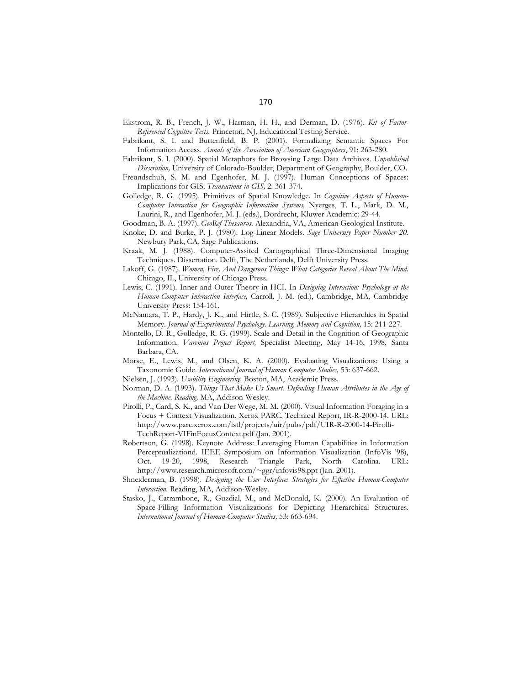- Ekstrom, R. B., French, J. W., Harman, H. H., and Derman, D. (1976). *Kit of Factor-Referenced Cognitive Tests.* Princeton, NJ, Educational Testing Service.
- Fabrikant, S. I. and Buttenfield, B. P. (2001). Formalizing Semantic Spaces For Information Access. *Annals of the Association of American Geographers*, 91: 263-280.
- Fabrikant, S. I. (2000). Spatial Metaphors for Browsing Large Data Archives. *Unpublished Disseration,* University of Colorado-Boulder, Department of Geography, Boulder, CO.
- Freundschuh, S. M. and Egenhofer, M. J. (1997). Human Conceptions of Spaces: Implications for GIS. *Transactions in GIS,* 2: 361-374.
- Golledge, R. G. (1995). Primitives of Spatial Knowledge. In *Cognitive Aspects of Human-Computer Interaction for Geographic Information Systems,* Nyerges, T. L., Mark, D. M., Laurini, R., and Egenhofer, M. J. (eds.), Dordrecht, Kluwer Academic: 29-44.

Goodman, B. A. (1997). *GeoRef Thesaurus*. Alexandria, VA, American Geological Institute.

- Knoke, D. and Burke, P. J. (1980). Log-Linear Models. *Sage University Paper Number 20.* Newbury Park, CA, Sage Publications.
- Kraak, M. J. (1988). Computer-Assited Cartographical Three-Dimensional Imaging Techniques. Dissertation. Delft, The Netherlands, Delft University Press.
- Lakoff, G. (1987). *Women, Fire, And Dangerous Things: What Categories Reveal About The Mind.* Chicago, IL, University of Chicago Press.
- Lewis, C. (1991). Inner and Outer Theory in HCI. In *Designing Interaction: Psychology at the Human-Computer Interaction Interface,* Carroll, J. M. (ed.), Cambridge, MA, Cambridge University Press: 154-161.
- McNamara, T. P., Hardy, J. K., and Hirtle, S. C. (1989). Subjective Hierarchies in Spatial Memory. *Journal of Experimental Psychology. Learning, Memory and Cognition,* 15: 211-227.
- Montello, D. R., Golledge, R. G. (1999). Scale and Detail in the Cognition of Geographic Information. *Varenius Project Report,* Specialist Meeting, May 14-16, 1998, Santa Barbara, CA.
- Morse, E., Lewis, M., and Olsen, K. A. (2000). Evaluating Visualizations: Using a Taxonomic Guide. *International Journal of Human Computer Studies,* 53: 637-662.
- Nielsen, J. (1993). *Usability Engineering.* Boston, MA, Academic Press.
- Norman, D. A. (1993). *Things That Make Us Smart. Defending Human Attributes in the Age of the Machine. Reading,* MA, Addison-Wesley.
- Pirolli, P., Card, S. K., and Van Der Wege, M. M. (2000). Visual Information Foraging in a Focus + Context Visualization. Xerox PARC, Technical Report, IR-R-2000-14. URL: http://www.parc.xerox.com/istl/projects/uir/pubs/pdf/UIR-R-2000-14-Pirolli-TechReport-VIFinFocusContext.pdf (Jan. 2001).
- Robertson, G. (1998). Keynote Address: Leveraging Human Capabilities in Information Perceptualizationd. IEEE Symposium on Information Visualization (InfoVis '98), Oct. 19-20, 1998, Research Triangle Park, North Carolina. URL: http://www.research.microsoft.com/~ggr/infovis98.ppt (Jan. 2001).
- Shneiderman, B. (1998). *Designing the User Interface: Strategies for Effective Human-Computer Interaction.* Reading, MA, Addison-Wesley.
- Stasko, J., Catrambone, R., Guzdial, M., and McDonald, K. (2000). An Evaluation of Space-Filling Information Visualizations for Depicting Hierarchical Structures. *International Journal of Human-Computer Studies,* 53: 663-694.